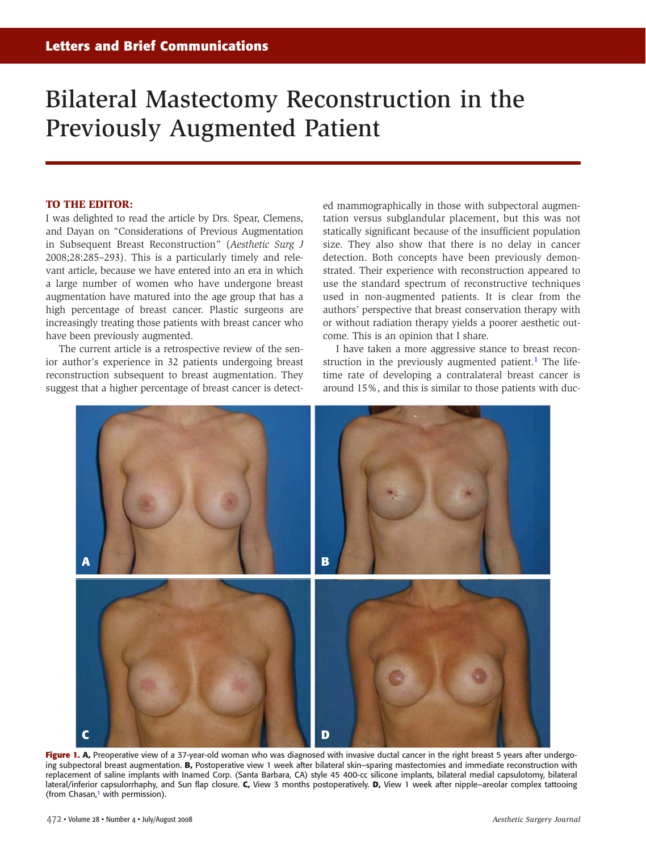## <span id="page-0-0"></span>Bilateral Mastectomy Reconstruction in the Previously Augmented Patient

## **TO THE EDITOR:**

I was delighted to read the article by Drs. Spear, Clemens, and Dayan on "Considerations of Previous Augmentation in Subsequent Breast Reconstruction" (*Aesthetic Surg J* 2008;28:285–293). This is a particularly timely and relevant article, because we have entered into an era in which a large number of women who have undergone breast augmentation have matured into the age group that has a high percentage of breast cancer. Plastic surgeons are increasingly treating those patients with breast cancer who have been previously augmented.

The current article is a retrospective review of the senior author's experience in 32 patients undergoing breast reconstruction subsequent to breast augmentation. They suggest that a higher percentage of breast cancer is detected mammographically in those with subpectoral augmentation versus subglandular placement, but this was not statically significant because of the insufficient population size. They also show that there is no delay in cancer detection. Both concepts have been previously demonstrated. Their experience with reconstruction appeared to use the standard spectrum of reconstructive techniques used in non-augmented patients. It is clear from the authors' perspective that breast conservation therapy with or without radiation therapy yields a [po](#page-1-0)orer aesthetic outcome. This is an opinion that I share.

I have taken a more aggressive stance to breast reconstruction in the previously augmented patient.<sup>1</sup> The lifetime rate of developing a contralateral breast cancer is around 15%, and this is similar to those patients with duc-



**Fi[gu](#page-1-0)re 1. A,** Preoperative view of a 37-year-old woman who was diagnosed with invasive ductal cancer in the right breast 5 years after undergoing subpectoral breast augmentation. **B,** Postoperative view 1 week after bilateral skin–sparing mastectomies and immediate reconstruction with replacement of saline implants with Inamed Corp. (Santa Barbara, CA) style 45 400-cc silicone implants, bilateral medial capsulotomy, bilateral lateral/inferior capsulorrhaphy, and Sun flap closure. **C,** View 3 months postoperatively. **D,** View 1 week after nipple–areolar complex tattooing (from Chasan, <sup>1</sup> with permission).